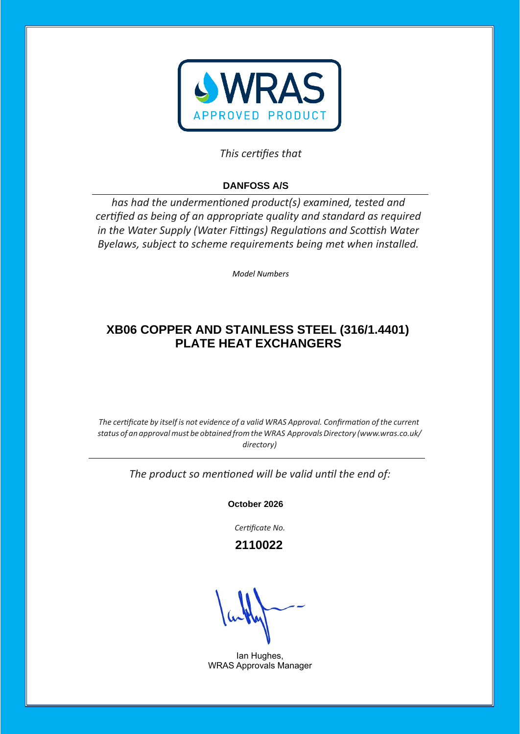

## This certifies that

# **DANFOSS A/S**

has had the undermentioned product(s) examined, tested and certified as being of an appropriate quality and standard as required *in the Water Supply (Water Fittings) Regulations and Scottish Water Byelaws, subject to scheme requirements being met when installed.* 

*Model Numbers* 

## **XB06 COPPER AND STAINLESS STEEL (316/1.4401) PLATE HEAT EXCHANGERS**

*The certificate by itself is not evidence of a valid WRAS Approval. Confirmation of the current status of an approvalmust be obtained fromtheWRAS ApprovalsDirectory [\(www.wras.co.uk/](http://www.wras.co.uk/directory)) [directory\)](http://www.wras.co.uk/directory))*

The product so mentioned will be valid until the end of:

**October 2026**

Certificate No.

 **2110022**

Ian Hughes, WRAS Approvals Manager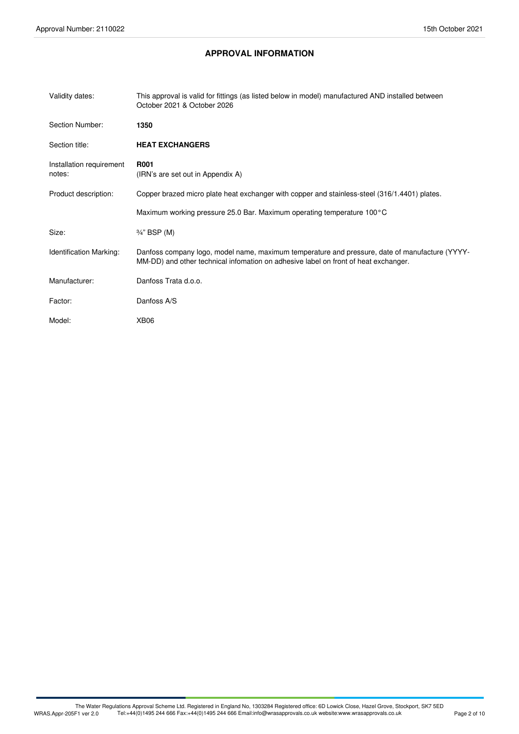### **APPROVAL INFORMATION**

| Validity dates:                    | This approval is valid for fittings (as listed below in model) manufactured AND installed between<br>October 2021 & October 2026                                                      |
|------------------------------------|---------------------------------------------------------------------------------------------------------------------------------------------------------------------------------------|
| Section Number:                    | 1350                                                                                                                                                                                  |
| Section title:                     | <b>HEAT EXCHANGERS</b>                                                                                                                                                                |
| Installation requirement<br>notes: | <b>R001</b><br>(IRN's are set out in Appendix A)                                                                                                                                      |
| Product description:               | Copper brazed micro plate heat exchanger with copper and stainless-steel (316/1.4401) plates.                                                                                         |
|                                    | Maximum working pressure 25.0 Bar. Maximum operating temperature 100°C                                                                                                                |
| Size:                              | 3/4" BSP (M)                                                                                                                                                                          |
| Identification Marking:            | Danfoss company logo, model name, maximum temperature and pressure, date of manufacture (YYYY-<br>MM-DD) and other technical infomation on adhesive label on front of heat exchanger. |
| Manufacturer:                      | Danfoss Trata d.o.o.                                                                                                                                                                  |
| Factor:                            | Danfoss A/S                                                                                                                                                                           |
| Model:                             | XB <sub>06</sub>                                                                                                                                                                      |